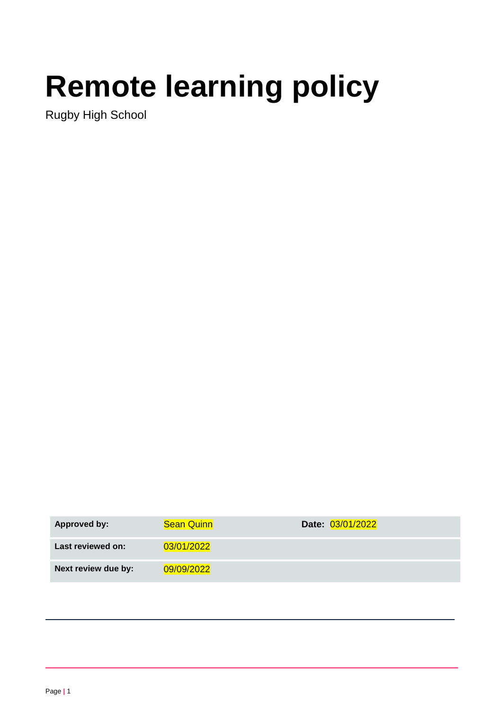# **Remote learning policy**

Rugby High School

| <b>Approved by:</b> | <b>Sean Quinn</b> | Date: 03/01/2022 |
|---------------------|-------------------|------------------|
| Last reviewed on:   | 03/01/2022        |                  |
| Next review due by: | 09/09/2022        |                  |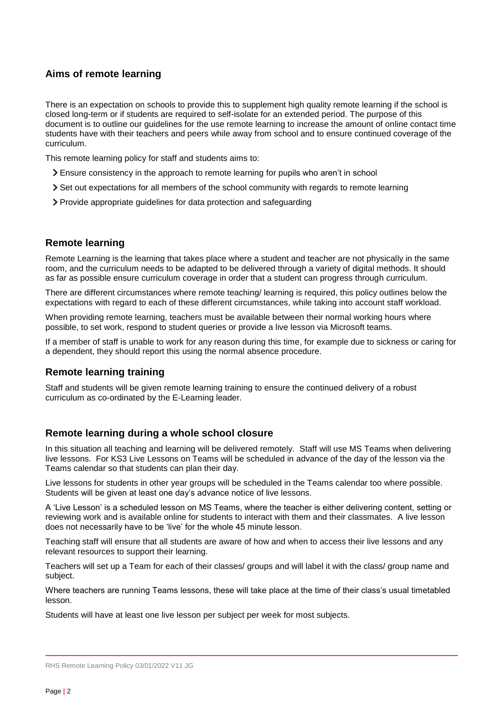# **Aims of remote learning**

There is an expectation on schools to provide this to supplement high quality remote learning if the school is closed long-term or if students are required to self-isolate for an extended period. The purpose of this document is to outline our guidelines for the use remote learning to increase the amount of online contact time students have with their teachers and peers while away from school and to ensure continued coverage of the curriculum.

This remote learning policy for staff and students aims to:

- Ensure consistency in the approach to remote learning for pupils who aren't in school
- Set out expectations for all members of the school community with regards to remote learning
- Provide appropriate guidelines for data protection and safeguarding

# **Remote learning**

Remote Learning is the learning that takes place where a student and teacher are not physically in the same room, and the curriculum needs to be adapted to be delivered through a variety of digital methods. It should as far as possible ensure curriculum coverage in order that a student can progress through curriculum.

There are different circumstances where remote teaching/ learning is required, this policy outlines below the expectations with regard to each of these different circumstances, while taking into account staff workload.

When providing remote learning, teachers must be available between their normal working hours where possible, to set work, respond to student queries or provide a live lesson via Microsoft teams.

If a member of staff is unable to work for any reason during this time, for example due to sickness or caring for a dependent, they should report this using the normal absence procedure.

# **Remote learning training**

Staff and students will be given remote learning training to ensure the continued delivery of a robust curriculum as co-ordinated by the E-Learning leader.

# **Remote learning during a whole school closure**

In this situation all teaching and learning will be delivered remotely. Staff will use MS Teams when delivering live lessons. For KS3 Live Lessons on Teams will be scheduled in advance of the day of the lesson via the Teams calendar so that students can plan their day.

Live lessons for students in other year groups will be scheduled in the Teams calendar too where possible. Students will be given at least one day's advance notice of live lessons.

A 'Live Lesson' is a scheduled lesson on MS Teams, where the teacher is either delivering content, setting or reviewing work and is available online for students to interact with them and their classmates.A live lesson does not necessarily have to be 'live' for the whole 45 minute lesson.

Teaching staff will ensure that all students are aware of how and when to access their live lessons and any relevant resources to support their learning.

Teachers will set up a Team for each of their classes/ groups and will label it with the class/ group name and subject.

Where teachers are running Teams lessons, these will take place at the time of their class's usual timetabled lesson.

Students will have at least one live lesson per subject per week for most subjects.

RHS Remote Learning Policy 03/01/2022 V11 JG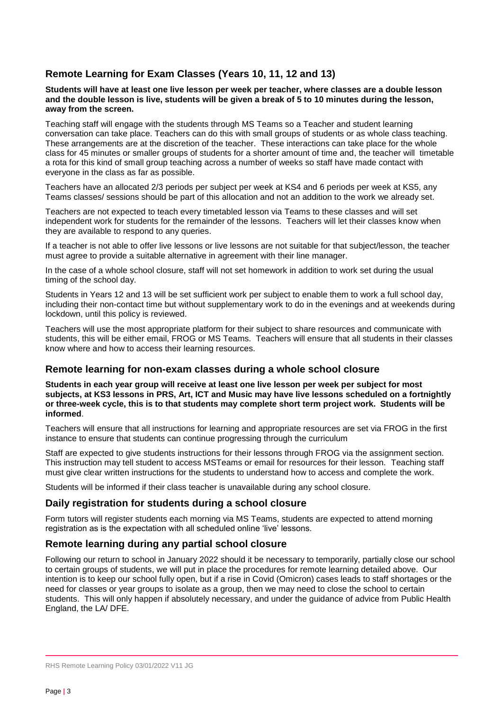# **Remote Learning for Exam Classes (Years 10, 11, 12 and 13)**

#### **Students will have at least one live lesson per week per teacher, where classes are a double lesson and the double lesson is live, students will be given a break of 5 to 10 minutes during the lesson, away from the screen.**

Teaching staff will engage with the students through MS Teams so a Teacher and student learning conversation can take place. Teachers can do this with small groups of students or as whole class teaching. These arrangements are at the discretion of the teacher. These interactions can take place for the whole class for 45 minutes or smaller groups of students for a shorter amount of time and, the teacher will timetable a rota for this kind of small group teaching across a number of weeks so staff have made contact with everyone in the class as far as possible.

Teachers have an allocated 2/3 periods per subject per week at KS4 and 6 periods per week at KS5, any Teams classes/ sessions should be part of this allocation and not an addition to the work we already set.

Teachers are not expected to teach every timetabled lesson via Teams to these classes and will set independent work for students for the remainder of the lessons. Teachers will let their classes know when they are available to respond to any queries.

If a teacher is not able to offer live lessons or live lessons are not suitable for that subject/lesson, the teacher must agree to provide a suitable alternative in agreement with their line manager.

In the case of a whole school closure, staff will not set homework in addition to work set during the usual timing of the school day.

Students in Years 12 and 13 will be set sufficient work per subject to enable them to work a full school day, including their non-contact time but without supplementary work to do in the evenings and at weekends during lockdown, until this policy is reviewed.

Teachers will use the most appropriate platform for their subject to share resources and communicate with students, this will be either email, FROG or MS Teams. Teachers will ensure that all students in their classes know where and how to access their learning resources.

# **Remote learning for non-exam classes during a whole school closure**

**Students in each year group will receive at least one live lesson per week per subject for most subjects, at KS3 lessons in PRS, Art, ICT and Music may have live lessons scheduled on a fortnightly or three-week cycle, this is to that students may complete short term project work. Students will be informed**.

Teachers will ensure that all instructions for learning and appropriate resources are set via FROG in the first instance to ensure that students can continue progressing through the curriculum

Staff are expected to give students instructions for their lessons through FROG via the assignment section. This instruction may tell student to access MSTeams or email for resources for their lesson. Teaching staff must give clear written instructions for the students to understand how to access and complete the work.

Students will be informed if their class teacher is unavailable during any school closure.

# **Daily registration for students during a school closure**

Form tutors will register students each morning via MS Teams, students are expected to attend morning registration as is the expectation with all scheduled online 'live' lessons.

# **Remote learning during any partial school closure**

Following our return to school in January 2022 should it be necessary to temporarily, partially close our school to certain groups of students, we will put in place the procedures for remote learning detailed above. Our intention is to keep our school fully open, but if a rise in Covid (Omicron) cases leads to staff shortages or the need for classes or year groups to isolate as a group, then we may need to close the school to certain students. This will only happen if absolutely necessary, and under the guidance of advice from Public Health England, the LA/ DFE.

RHS Remote Learning Policy 03/01/2022 V11 JG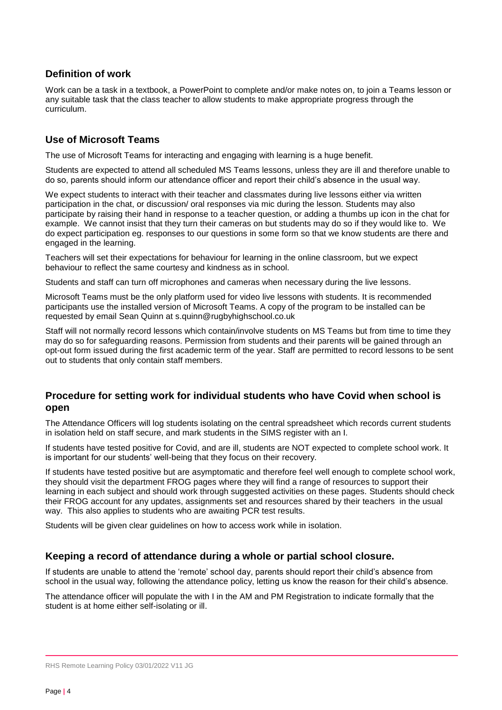# **Definition of work**

Work can be a task in a textbook, a PowerPoint to complete and/or make notes on, to join a Teams lesson or any suitable task that the class teacher to allow students to make appropriate progress through the curriculum.

# **Use of Microsoft Teams**

The use of Microsoft Teams for interacting and engaging with learning is a huge benefit.

Students are expected to attend all scheduled MS Teams lessons, unless they are ill and therefore unable to do so, parents should inform our attendance officer and report their child's absence in the usual way.

We expect students to interact with their teacher and classmates during live lessons either via written participation in the chat, or discussion/ oral responses via mic during the lesson. Students may also participate by raising their hand in response to a teacher question, or adding a thumbs up icon in the chat for example. We cannot insist that they turn their cameras on but students may do so if they would like to. We do expect participation eg. responses to our questions in some form so that we know students are there and engaged in the learning.

Teachers will set their expectations for behaviour for learning in the online classroom, but we expect behaviour to reflect the same courtesy and kindness as in school.

Students and staff can turn off microphones and cameras when necessary during the live lessons.

Microsoft Teams must be the only platform used for video live lessons with students. It is recommended participants use the installed version of Microsoft Teams. A copy of the program to be installed can be requested by email Sean Quinn at [s.quinn@rugbyhighschool.co.uk](mailto:s.quinn@rugbyhighschool.co.uk)

Staff will not normally record lessons which contain/involve students on MS Teams but from time to time they may do so for safeguarding reasons. Permission from students and their parents will be gained through an opt-out form issued during the first academic term of the year. Staff are permitted to record lessons to be sent out to students that only contain staff members.

# **Procedure for setting work for individual students who have Covid when school is open**

The Attendance Officers will log students isolating on the central spreadsheet which records current students in isolation held on staff secure, and mark students in the SIMS register with an I.

If students have tested positive for Covid, and are ill, students are NOT expected to complete school work. It is important for our students' well-being that they focus on their recovery.

If students have tested positive but are asymptomatic and therefore feel well enough to complete school work, they should visit the department FROG pages where they will find a range of resources to support their learning in each subject and should work through suggested activities on these pages. Students should check their FROG account for any updates, assignments set and resources shared by their teachers in the usual way. This also applies to students who are awaiting PCR test results.

Students will be given clear guidelines on how to access work while in isolation.

# **Keeping a record of attendance during a whole or partial school closure.**

If students are unable to attend the 'remote' school day, parents should report their child's absence from school in the usual way, following the attendance policy, letting us know the reason for their child's absence.

The attendance officer will populate the with I in the AM and PM Registration to indicate formally that the student is at home either self-isolating or ill.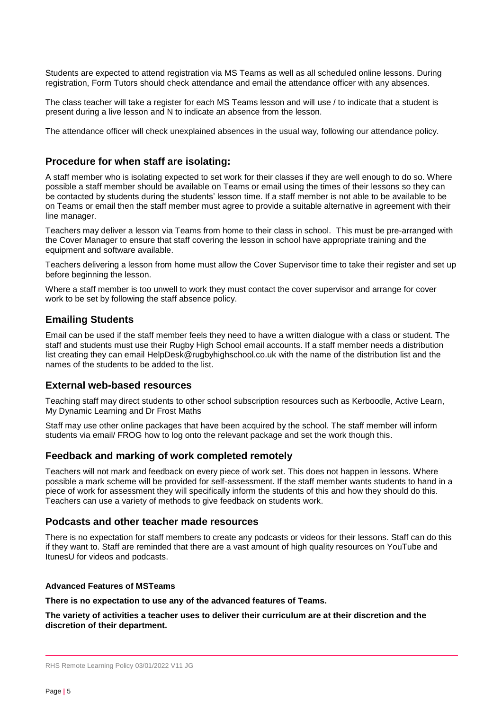Students are expected to attend registration via MS Teams as well as all scheduled online lessons. During registration, Form Tutors should check attendance and email the attendance officer with any absences.

The class teacher will take a register for each MS Teams lesson and will use / to indicate that a student is present during a live lesson and N to indicate an absence from the lesson.

The attendance officer will check unexplained absences in the usual way, following our attendance policy.

## **Procedure for when staff are isolating:**

A staff member who is isolating expected to set work for their classes if they are well enough to do so. Where possible a staff member should be available on Teams or email using the times of their lessons so they can be contacted by students during the students' lesson time. If a staff member is not able to be available to be on Teams or email then the staff member must agree to provide a suitable alternative in agreement with their line manager.

Teachers may deliver a lesson via Teams from home to their class in school. This must be pre-arranged with the Cover Manager to ensure that staff covering the lesson in school have appropriate training and the equipment and software available.

Teachers delivering a lesson from home must allow the Cover Supervisor time to take their register and set up before beginning the lesson.

Where a staff member is too unwell to work they must contact the cover supervisor and arrange for cover work to be set by following the staff absence policy.

## **Emailing Students**

Email can be used if the staff member feels they need to have a written dialogue with a class or student. The staff and students must use their Rugby High School email accounts. If a staff member needs a distribution list creating they can email [HelpDesk@rugbyhighschool.co.uk](mailto:HelpDesk@rugbyhighschool.co.uk) with the name of the distribution list and the names of the students to be added to the list.

# **External web-based resources**

Teaching staff may direct students to other school subscription resources such as Kerboodle, Active Learn, My Dynamic Learning and Dr Frost Maths

Staff may use other online packages that have been acquired by the school. The staff member will inform students via email/ FROG how to log onto the relevant package and set the work though this.

#### **Feedback and marking of work completed remotely**

Teachers will not mark and feedback on every piece of work set. This does not happen in lessons. Where possible a mark scheme will be provided for self-assessment. If the staff member wants students to hand in a piece of work for assessment they will specifically inform the students of this and how they should do this. Teachers can use a variety of methods to give feedback on students work.

## **Podcasts and other teacher made resources**

There is no expectation for staff members to create any podcasts or videos for their lessons. Staff can do this if they want to. Staff are reminded that there are a vast amount of high quality resources on YouTube and ItunesU for videos and podcasts.

#### **Advanced Features of MSTeams**

**There is no expectation to use any of the advanced features of Teams.** 

**The variety of activities a teacher uses to deliver their curriculum are at their discretion and the discretion of their department.**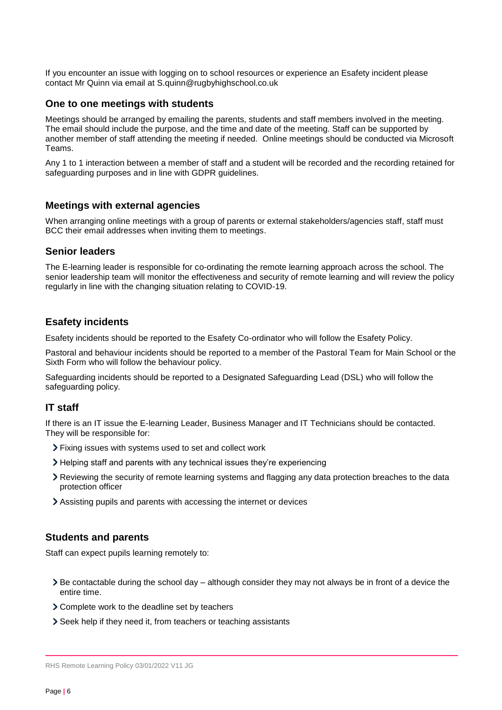If you encounter an issue with logging on to school resources or experience an Esafety incident please contact Mr Quinn via email at [S.quinn@rugbyhighschool.co.uk](mailto:S.quinn@rugbyhighschool.co.uk)

## **One to one meetings with students**

Meetings should be arranged by emailing the parents, students and staff members involved in the meeting. The email should include the purpose, and the time and date of the meeting. Staff can be supported by another member of staff attending the meeting if needed. Online meetings should be conducted via Microsoft Teams.

Any 1 to 1 interaction between a member of staff and a student will be recorded and the recording retained for safeguarding purposes and in line with GDPR guidelines.

## **Meetings with external agencies**

When arranging online meetings with a group of parents or external stakeholders/agencies staff, staff must BCC their email addresses when inviting them to meetings.

## **Senior leaders**

The E-learning leader is responsible for co-ordinating the remote learning approach across the school. The senior leadership team will monitor the effectiveness and security of remote learning and will review the policy regularly in line with the changing situation relating to COVID-19.

## **Esafety incidents**

Esafety incidents should be reported to the Esafety Co-ordinator who will follow the Esafety Policy.

Pastoral and behaviour incidents should be reported to a member of the Pastoral Team for Main School or the Sixth Form who will follow the behaviour policy.

Safeguarding incidents should be reported to a Designated Safeguarding Lead (DSL) who will follow the safeguarding policy.

# **IT staff**

If there is an IT issue the E-learning Leader, Business Manager and IT Technicians should be contacted. They will be responsible for:

- Fixing issues with systems used to set and collect work
- Helping staff and parents with any technical issues they're experiencing
- Reviewing the security of remote learning systems and flagging any data protection breaches to the data protection officer
- Assisting pupils and parents with accessing the internet or devices

# **Students and parents**

Staff can expect pupils learning remotely to:

- Be contactable during the school day although consider they may not always be in front of a device the entire time.
- Complete work to the deadline set by teachers
- Seek help if they need it, from teachers or teaching assistants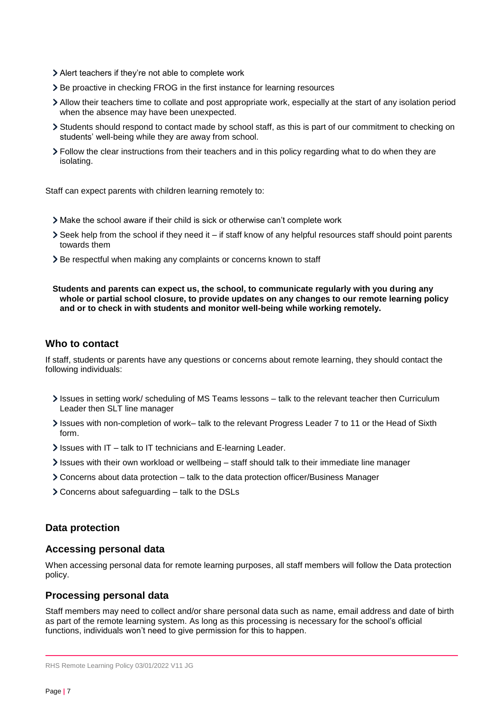- Alert teachers if they're not able to complete work
- > Be proactive in checking FROG in the first instance for learning resources
- Allow their teachers time to collate and post appropriate work, especially at the start of any isolation period when the absence may have been unexpected.
- Students should respond to contact made by school staff, as this is part of our commitment to checking on students' well-being while they are away from school.
- Follow the clear instructions from their teachers and in this policy regarding what to do when they are isolating.

Staff can expect parents with children learning remotely to:

- Make the school aware if their child is sick or otherwise can't complete work
- Seek help from the school if they need it if staff know of any helpful resources staff should point parents towards them
- Be respectful when making any complaints or concerns known to staff

#### **Students and parents can expect us, the school, to communicate regularly with you during any whole or partial school closure, to provide updates on any changes to our remote learning policy and or to check in with students and monitor well-being while working remotely.**

# **Who to contact**

If staff, students or parents have any questions or concerns about remote learning, they should contact the following individuals:

- Issues in setting work/ scheduling of MS Teams lessons talk to the relevant teacher then Curriculum Leader then SLT line manager
- Issues with non-completion of work– talk to the relevant Progress Leader 7 to 11 or the Head of Sixth form.
- $\ge$  Issues with IT talk to IT technicians and E-learning Leader.
- $\ge$  Issues with their own workload or wellbeing staff should talk to their immediate line manager
- Concerns about data protection talk to the data protection officer/Business Manager
- Concerns about safeguarding talk to the DSLs

# **Data protection**

# **Accessing personal data**

When accessing personal data for remote learning purposes, all staff members will follow the Data protection policy.

# **Processing personal data**

Staff members may need to collect and/or share personal data such as name, email address and date of birth as part of the remote learning system. As long as this processing is necessary for the school's official functions, individuals won't need to give permission for this to happen.

RHS Remote Learning Policy 03/01/2022 V11 JG